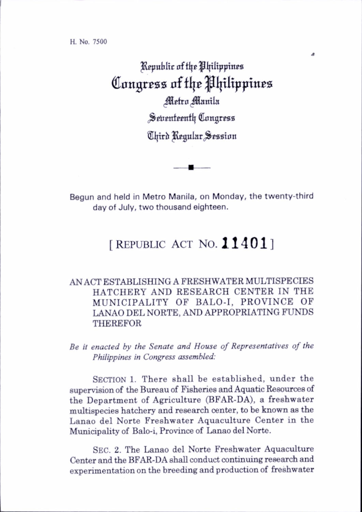Republic of the Philippines Congress of the Philippines Metro Manila Seitenteenth Congress Chird Regular Session

Begun and held in Metro Manila, on Monday, the twenty-third day of July, two thousand eighteen.

## [ REPUBLIC ACT NO. 11401]

## AN ACT ESTABLISHING A FRESHWATER MULTISPECIES HATCHERY AND RESEARCH CENTER IN THE MUNICIPALITY OF BALO-I, PROVINCE OF LANAO DEL NORTE, AND APPROPRIATING FUNDS THEREFOR

Be it enacted by the Senate and House of Representatives of the Philippines in Congress assembled:

SECTION 1. There shall be established, under the supervision of the Bureau of Fisheries and Aquatic Resources of the Department of Agriculture (BFAR-DA), a freshwater multispecies hatchery and research center, to be known as the Lanao del Norte Freshwater Aquaculture Center in the Municipahty of Balo-i, Province of Lanao del Norte.

Sec. 2. The Lanao del Norte Freshwater Aquaculture Center and the BFAR-DA shall conduct continuing research and experimentation on the breeding and production of freshwater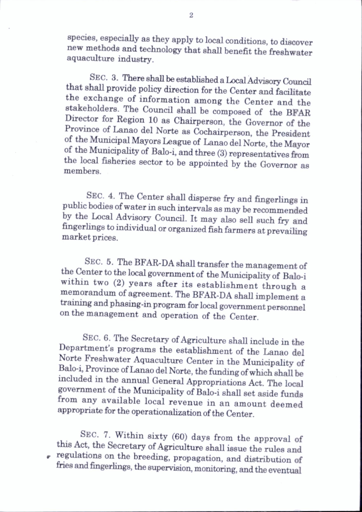species, especially as they apply to local conditions, to discover new methods and technology that shall benefit the freshwater aquaculture industry.

SEC. 3. There shall be established a Local Advisory Council that shall provide policy direction for the Center and facihtate the exchange of information among the Center and the stakeholders. The Council shall be composed of the BFAR Director for Region 10 as Chairperson, the Governor of the Province of Lanao del Norte as Cochairperson, the President of the Municipal Mayors League of Lanao del Norte, the Mayor of the Municipality of Balo-i, and three (3) representatives from the local fisheries sector to be appointed by the Governor as members.

Sec. 4. The Center shall disperse fry and fingerlings in public bodies of water in such intervals as may be recommended by the Local Advisory Council. It may also sell such fry and fingerlings to individual or organized fish farmers at prevailing market prices.

SEC. 5. The BFAR-DA shall transfer the management of the Center to the local government of the Municipahty of Balo-i within two (2) years after its establishment through a memorandum of agreement. The BFAR-DA shall implement a training and phasing-in program for local government personnel on the management and operation of the Center.

Sec. 6. The Secretary of Agriculture shall include in the Department's programs the establishment of the Lanao del Norte Freshwater Aquaculture Center in the Municipality of Balo-i, Province of Lanao del Norte, the funding of which shaU be included in the annual General Appropriations Act. The local government of the Municipahty of Balo-i shall set aside funds from any available local revenue in an amount deemed appropriate for the operationahzation of the Center.

Sec. 7. Within sixty (60) days from the approval of this Act, the Secretary of Agriculture shall issue the rules and regulations on the breeding, propagation, and distribution of tries and fingerlings, the supervision, monitoring, and the eventual